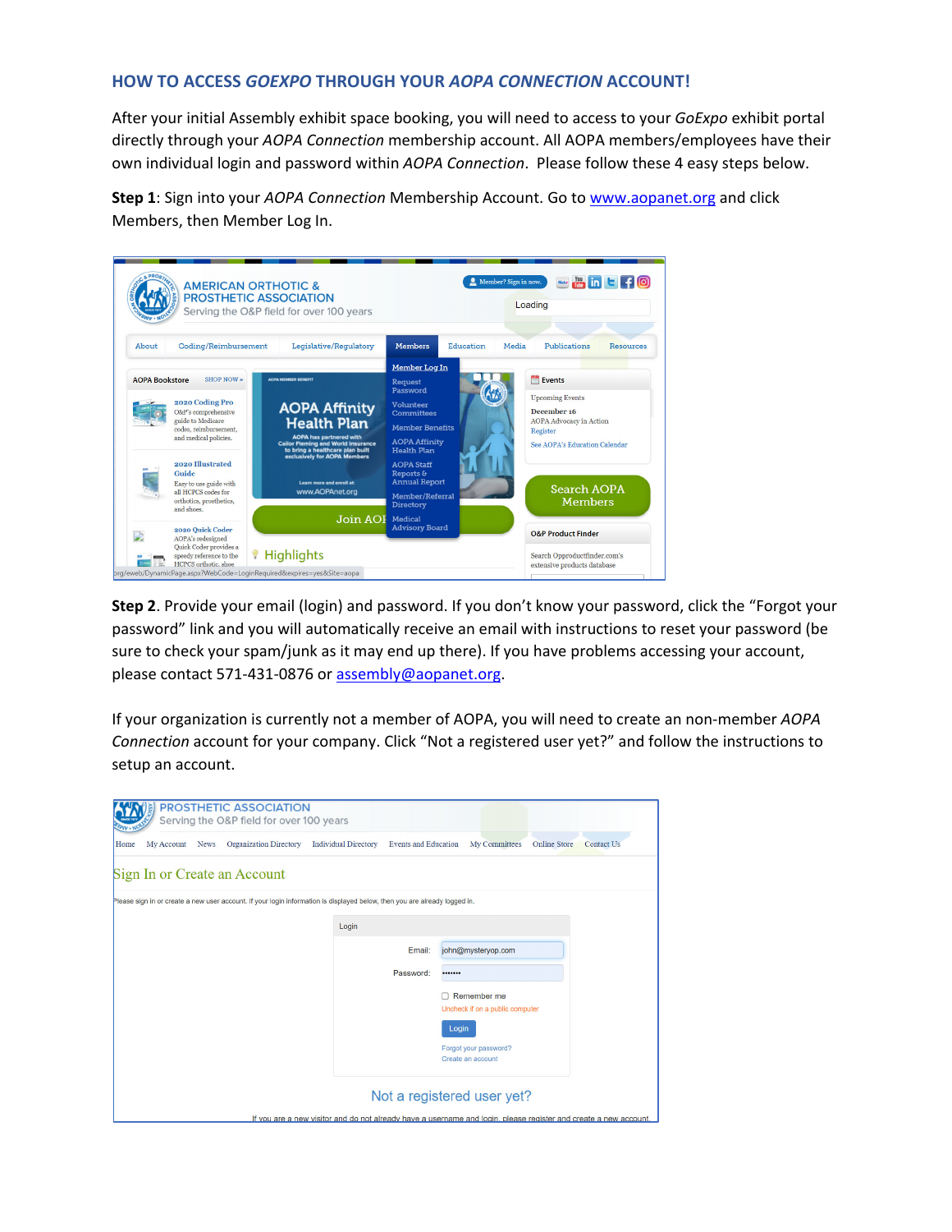## **HOW TO ACCESS** *GOEXPO* **THROUGH YOUR** *AOPA CONNECTION* **ACCOUNT!**

After your initial Assembly exhibit space booking, you will need to access to your *GoExpo* exhibit portal directly through your *AOPA Connection* membership account. All AOPA members/employees have their own individual login and password within *AOPA Connection*. Please follow these 4 easy steps below.

**Step 1**: Sign into your *AOPA Connection* Membership Account. Go to www.aopanet.org and click Members, then Member Log In.

|                       | <b>AMERICAN ORTHOTIC &amp;</b>                                                                                      | <b>PROSTHETIC ASSOCIATION</b><br>Serving the O&P field for over 100 years                                                                                     |                                                                                                                                                                                                                     | Member? Sign in now. |       | <b>Box in C</b> <sub>F</sub> <sup>O</sup><br>Loading                                                                                                         |  |  |
|-----------------------|---------------------------------------------------------------------------------------------------------------------|---------------------------------------------------------------------------------------------------------------------------------------------------------------|---------------------------------------------------------------------------------------------------------------------------------------------------------------------------------------------------------------------|----------------------|-------|--------------------------------------------------------------------------------------------------------------------------------------------------------------|--|--|
| About                 | Coding/Reimbursement                                                                                                | Legislative/Regulatory                                                                                                                                        | <b>Members</b>                                                                                                                                                                                                      | Education            | Media | Publications<br><b>Resources</b>                                                                                                                             |  |  |
| <b>AOPA Bookstore</b> | SHOP NOW »                                                                                                          | <b>AOPA MEMBER RENEFIT</b>                                                                                                                                    | Member Log In<br>Request                                                                                                                                                                                            |                      |       | <b>Events</b>                                                                                                                                                |  |  |
|                       | 2020 Coding Pro<br>O&P's comprehensive<br>guide to Medicare<br>codes, reimbursement,<br>and medical policies.       | <b>AOPA Affinity</b><br><b>Health Plan</b><br><b>AOPA has partnered with</b><br><b>Cailor Fleming and World Insurance</b><br>to bring a healthcare plan built | Password<br>Volunteer<br><b>Committees</b><br><b>Member Benefits</b><br><b>AOPA Affinity</b><br><b>Health Plan</b><br><b>AOPA Staff</b><br>Reports &<br><b>Annual Report</b><br>Member/Referral<br><b>Directory</b> |                      |       | <b>Upcoming Events</b><br>December 16<br><b>AOPA Advocacy in Action</b><br>Register<br>See AOPA's Education Calendar<br><b>Search AOPA</b><br><b>Members</b> |  |  |
|                       | 2020 Illustrated<br>Guide<br>Easy to use guide with<br>all HCPCS codes for<br>orthotics, prosthetics,<br>and shoes. | exclusively for AOPA Members<br>Learn more and enroll at:<br>www.AOPAnet.org                                                                                  |                                                                                                                                                                                                                     |                      |       |                                                                                                                                                              |  |  |
|                       | 2020 Ouick Coder<br>AOPA's redesigned                                                                               | Join AOI                                                                                                                                                      | Medical<br><b>Advisory Board</b>                                                                                                                                                                                    |                      |       | <b>O&amp;P Product Finder</b>                                                                                                                                |  |  |
|                       | Quick Coder provides a<br>speedy reference to the<br>HCPCS orthotic, shoe                                           | Highlights<br>prg/eweb/DynamicPage.aspx?WebCode=LoginRequired&expires=yes&Site=aopa                                                                           |                                                                                                                                                                                                                     |                      |       | Search Opproductfinder.com's<br>extensive products database                                                                                                  |  |  |

**Step 2**. Provide your email (login) and password. If you don't know your password, click the "Forgot your password" link and you will automatically receive an email with instructions to reset your password (be sure to check your spam/junk as it may end up there). If you have problems accessing your account, please contact 571-431-0876 or assembly@aopanet.org.

If your organization is currently not a member of AOPA, you will need to create an non‐member *AOPA Connection* account for your company. Click "Not a registered user yet?" and follow the instructions to setup an account.

|                            |             | <b>PROSTHETIC ASSOCIATION</b><br>Serving the O&P field for over 100 years                                                  |                                                                                                                  |                             |                                            |               |                     |                   |
|----------------------------|-------------|----------------------------------------------------------------------------------------------------------------------------|------------------------------------------------------------------------------------------------------------------|-----------------------------|--------------------------------------------|---------------|---------------------|-------------------|
| Home<br>My Account         | <b>News</b> | <b>Organization Directory</b>                                                                                              | <b>Individual Directory</b>                                                                                      | <b>Events and Education</b> |                                            | My Committees | <b>Online Store</b> | <b>Contact Us</b> |
|                            |             | Sign In or Create an Account                                                                                               |                                                                                                                  |                             |                                            |               |                     |                   |
|                            |             | Please sign in or create a new user account. If your login information is displayed below, then you are already logged in. |                                                                                                                  |                             |                                            |               |                     |                   |
|                            |             |                                                                                                                            | Login                                                                                                            |                             |                                            |               |                     |                   |
|                            |             |                                                                                                                            |                                                                                                                  | Email:                      | john@mysteryop.com                         |               |                     |                   |
|                            |             |                                                                                                                            |                                                                                                                  | Password:                   |                                            |               |                     |                   |
|                            |             |                                                                                                                            |                                                                                                                  |                             | Remember me                                |               |                     |                   |
|                            |             |                                                                                                                            |                                                                                                                  |                             | Uncheck if on a public computer<br>Login   |               |                     |                   |
|                            |             |                                                                                                                            |                                                                                                                  |                             | Forgot your password?<br>Create an account |               |                     |                   |
| Not a registered user yet? |             |                                                                                                                            |                                                                                                                  |                             |                                            |               |                     |                   |
|                            |             |                                                                                                                            | If you are a new visitor and do not already have a username and login, please register and create a new account. |                             |                                            |               |                     |                   |